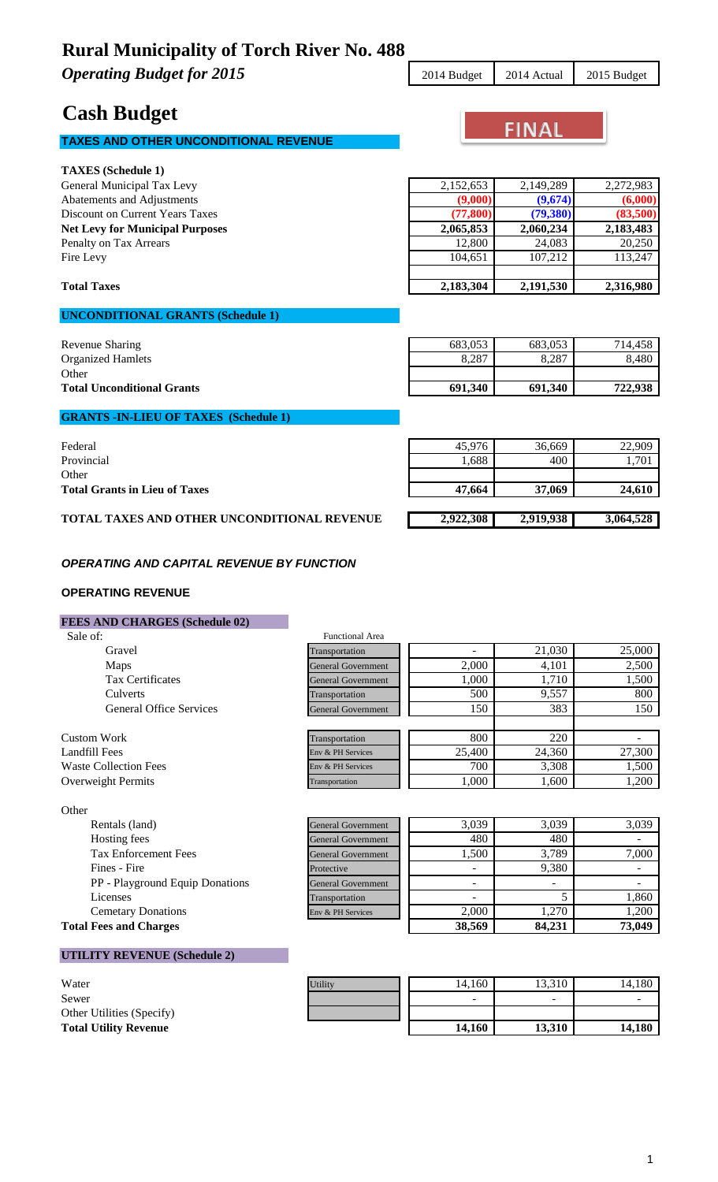**Operating Budget for 2015** 2014 Budget 2014 Actual 2015 Budget

### **Cash Budget**

### **TAXES AND OTHER UNCONDITIONAL REVENUE**

### **TAXES (Schedule 1)** General Municipal Tax Levy 2,152,653 2,149,289 2,272,983 Abatements and Adjustments **(9,000) (9,674) (6,000)**

### **UNCONDITIONAL GRANTS (Schedule 1)**

| Revenue Sharing                   | 683.053 | 683.053 | 714.458 |
|-----------------------------------|---------|---------|---------|
| <b>Organized Hamlets</b>          | 8,287   | 8,287   | 8,480   |
| Other                             |         |         |         |
| <b>Total Unconditional Grants</b> | 691.340 | 691.340 | 722,938 |
|                                   |         |         |         |

### **GRANTS -IN-LIEU OF TAXES (Schedule 1)**

| Federal                                            | 45.976    | 36,669    | 22,909    |
|----------------------------------------------------|-----------|-----------|-----------|
| Provincial                                         | .688      | 400       | 1,701     |
| Other                                              |           |           |           |
| <b>Total Grants in Lieu of Taxes</b>               | 47.664    | 37,069    | 24,610    |
|                                                    |           |           |           |
| <b>TOTAL TAXES AND OTHER UNCONDITIONAL REVENUE</b> | 2,922,308 | 2,919,938 | 3,064,528 |

#### *OPERATING AND CAPITAL REVENUE BY FUNCTION*

#### **OPERATING REVENUE**

#### **FEES AND CHARGES (Schedule 02)**

| Sale of:                       | <b>Functional Area</b>    |        |        |        |
|--------------------------------|---------------------------|--------|--------|--------|
| Gravel                         | Transportation            |        | 21,030 | 25,000 |
| Maps                           | <b>General Government</b> | 2,000  | 4,101  | 2,500  |
| <b>Tax Certificates</b>        | <b>General Government</b> | 1,000  | 1,710  | 1,500  |
| Culverts                       | Transportation            | 500    | 9,557  | 800    |
| <b>General Office Services</b> | <b>General Government</b> | 150    | 383    | 150    |
|                                |                           |        |        |        |
| Custom Work                    | Transportation            | 800    | 220    |        |
| Landfill Fees                  | Env & PH Services         | 25,400 | 24,360 | 27,300 |
| <b>Waste Collection Fees</b>   | Env & PH Services         | 700    | 3,308  | 1,500  |
| Overweight Permits             | Transportation            | 1,000  | 1,600  | 1,200  |

| Other |                                |
|-------|--------------------------------|
|       | Rentals (land)                 |
|       | Hosting fees                   |
|       | <b>Tax Enforcement Fees</b>    |
|       | Fines - Fire                   |
|       | PP - Playground Equip Donation |
|       | Licenses                       |
|       | <b>Cemetary Donations</b>      |
|       | <b>Total Fees and Charges</b>  |

| $\sim$                                 |                           |        |                          |        |
|----------------------------------------|---------------------------|--------|--------------------------|--------|
| Rentals (land)                         | <b>General Government</b> | 3.039  | 3.039                    | 3,039  |
| Hosting fees                           | <b>General Government</b> | 480    | 480                      |        |
| <b>Tax Enforcement Fees</b>            | <b>General Government</b> | 1,500  | 3.789                    | 7,000  |
| Fines - Fire                           | Protective                | -      | 9.380                    |        |
| <b>PP</b> - Playground Equip Donations | <b>General Government</b> | -      | $\overline{\phantom{0}}$ |        |
| Licenses                               | Transportation            | -      |                          | 1,860  |
| <b>Cemetary Donations</b>              | Env & PH Services         | 2.000  | 1.270                    | 1,200  |
| <b>Total Fees and Charges</b>          |                           | 38,569 | 84,231                   | 73,049 |

#### **UTILITY REVENUE (Schedule 2)**

| Water                        |
|------------------------------|
| Sewer                        |
| Other Utilities (Specify)    |
| <b>Total Utility Revenue</b> |

| Water                        | <b>Utility</b> | 14.160 | 13,310                   | 14.180 |
|------------------------------|----------------|--------|--------------------------|--------|
| Sewer                        |                | $\sim$ | $\overline{\phantom{a}}$ |        |
| Other Utilities (Specify)    |                |        |                          |        |
| <b>Total Utility Revenue</b> |                | 14.160 | 13.310                   | 14.180 |

**FINAL** 

| OCHCIAI MUHICIPAI TAX LCVY               | 2,132,033 | 2,147,207 | 2, 212, 70J |
|------------------------------------------|-----------|-----------|-------------|
| Abatements and Adjustments               | (9,000)   | (9,674)   | (6,000)     |
| Discount on Current Years Taxes          | (77, 800) | (79,380)  | (83,500)    |
| <b>Net Levy for Municipal Purposes</b>   | 2,065,853 | 2,060,234 | 2,183,483   |
| Penalty on Tax Arrears                   | 12,800    | 24,083    | 20,250      |
| Fire Levy                                | 104,651   | 107.212   | 113,247     |
| <b>Total Taxes</b>                       | 2,183,304 | 2,191,530 | 2,316,980   |
| <b>HNCONDITIONAL CRANTS (Schedule 1)</b> |           |           |             |
|                                          |           |           |             |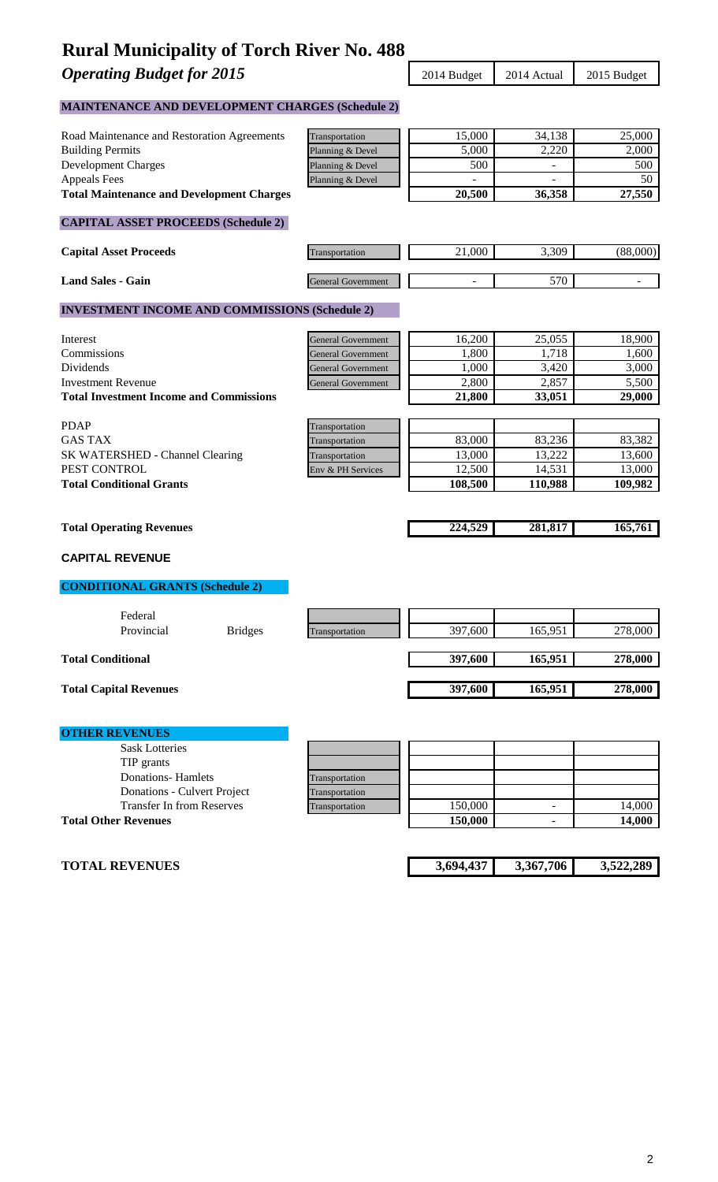**Operating Budget for 2015** 2015 2014 Budget 2014 Actual 2015 Budget

### **MAINTENANCE AND DEVELOPMENT CHARGES (Schedule 2)**

| Road Maintenance and Restoration Agreements           | Transportation            | 15,000    | 34,138                   | 25,000    |
|-------------------------------------------------------|---------------------------|-----------|--------------------------|-----------|
| <b>Building Permits</b>                               | Planning & Devel          | 5,000     | 2,220                    | 2,000     |
| <b>Development Charges</b>                            | Planning & Devel          | 500       | $\overline{\phantom{0}}$ | 500       |
| <b>Appeals Fees</b>                                   | Planning & Devel          |           |                          | 50        |
| <b>Total Maintenance and Development Charges</b>      |                           | 20,500    | 36,358                   | 27,550    |
|                                                       |                           |           |                          |           |
| <b>CAPITAL ASSET PROCEEDS (Schedule 2)</b>            |                           |           |                          |           |
| <b>Capital Asset Proceeds</b>                         | Transportation            | 21,000    | 3,309                    | (88,000)  |
| <b>Land Sales - Gain</b>                              | <b>General Government</b> |           | 570                      |           |
| <b>INVESTMENT INCOME AND COMMISSIONS (Schedule 2)</b> |                           |           |                          |           |
| Interest                                              | <b>General Government</b> | 16,200    | 25,055                   | 18,900    |
| Commissions                                           | <b>General Government</b> | 1,800     | 1,718                    | 1,600     |
| Dividends                                             | <b>General Government</b> | 1,000     | 3,420                    | 3,000     |
| <b>Investment Revenue</b>                             | <b>General Government</b> | 2,800     | 2,857                    | 5,500     |
| <b>Total Investment Income and Commissions</b>        |                           | 21,800    | 33,051                   | 29,000    |
|                                                       |                           |           |                          |           |
| <b>PDAP</b>                                           | Transportation            |           |                          |           |
| <b>GAS TAX</b>                                        | Transportation            | 83,000    | 83,236                   | 83,382    |
| SK WATERSHED - Channel Clearing                       | Transportation            | 13,000    | 13,222                   | 13,600    |
| PEST CONTROL                                          | Env & PH Services         | 12,500    | 14,531                   | 13,000    |
| <b>Total Conditional Grants</b>                       |                           | 108,500   | 110,988                  | 109,982   |
|                                                       |                           |           |                          |           |
| <b>Total Operating Revenues</b>                       |                           | 224,529   | 281,817                  | 165,761   |
| <b>CAPITAL REVENUE</b>                                |                           |           |                          |           |
| <b>CONDITIONAL GRANTS (Schedule 2)</b>                |                           |           |                          |           |
| Federal                                               |                           |           |                          |           |
| Provincial<br><b>Bridges</b>                          | Transportation            | 397,600   | 165,951                  | 278,000   |
|                                                       |                           |           |                          |           |
| <b>Total Conditional</b>                              |                           | 397,600   | 165,951                  | 278,000   |
| <b>Total Capital Revenues</b>                         |                           | 397,600   | 165,951                  | 278,000   |
|                                                       |                           |           |                          |           |
|                                                       |                           |           |                          |           |
| <b>OTHER REVENUES</b>                                 |                           |           |                          |           |
| <b>Sask Lotteries</b>                                 |                           |           |                          |           |
| TIP grants                                            |                           |           |                          |           |
| <b>Donations-Hamlets</b>                              | Transportation            |           |                          |           |
| Donations - Culvert Project                           | Transportation            |           |                          |           |
| <b>Transfer In from Reserves</b>                      | Transportation            | 150,000   | $\overline{\phantom{0}}$ | 14,000    |
| <b>Total Other Revenues</b>                           |                           | 150,000   |                          | 14,000    |
|                                                       |                           |           |                          |           |
| <b>TOTAL REVENUES</b>                                 |                           | 3,694,437 | 3,367,706                | 3,522,289 |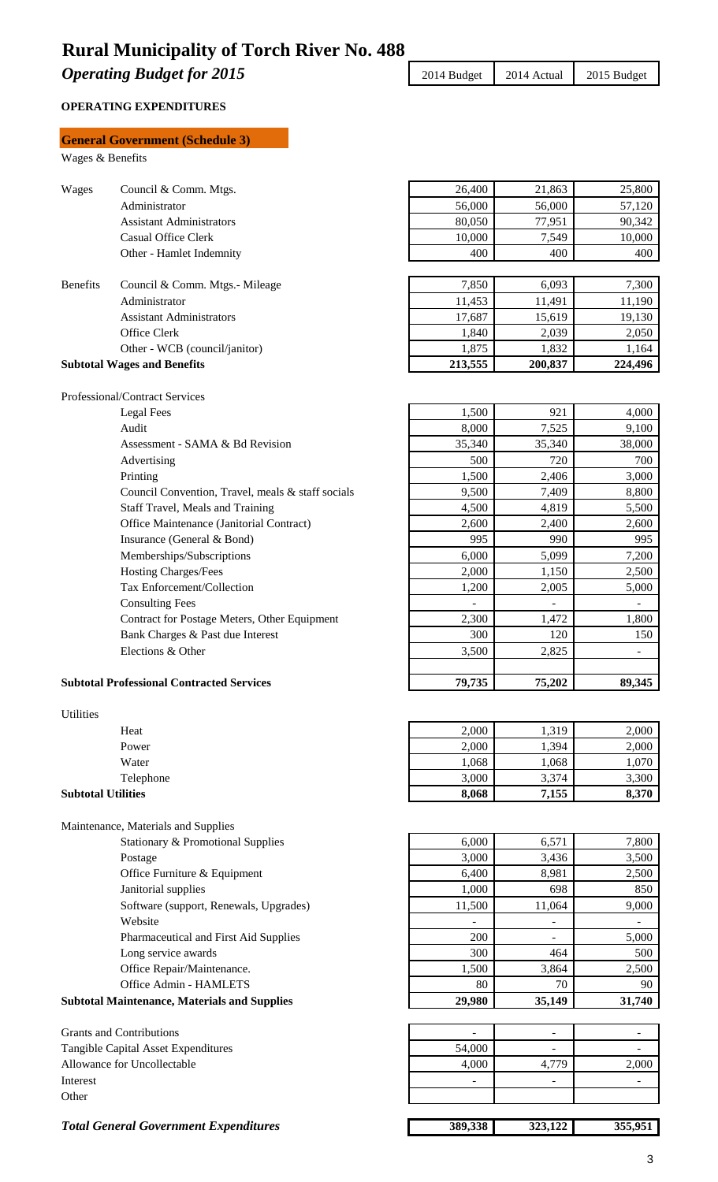**Operating Budget for 2015** 2015 2014 Budget 2014 Actual 2015 Budget

#### **OPERATING EXPENDITURES**

|                           | <b>General Government (Schedule 3)</b>                                           |                  |                          |                  |
|---------------------------|----------------------------------------------------------------------------------|------------------|--------------------------|------------------|
| Wages & Benefits          |                                                                                  |                  |                          |                  |
|                           |                                                                                  |                  |                          |                  |
| Wages                     | Council & Comm. Mtgs.                                                            | 26,400           | 21,863                   | 25,800           |
|                           | Administrator                                                                    | 56,000           | 56,000                   | 57,120           |
|                           | <b>Assistant Administrators</b>                                                  | 80,050           | 77,951                   | 90,342           |
|                           | <b>Casual Office Clerk</b>                                                       | 10,000           | 7,549                    | 10,000           |
|                           | Other - Hamlet Indemnity                                                         | 400              | 400                      | 400              |
|                           |                                                                                  |                  |                          |                  |
| <b>Benefits</b>           | Council & Comm. Mtgs.- Mileage                                                   | 7,850            | 6,093                    | 7,300            |
|                           | Administrator<br><b>Assistant Administrators</b>                                 | 11,453<br>17,687 | 11,491<br>15,619         | 11,190<br>19,130 |
|                           | Office Clerk                                                                     | 1,840            | 2,039                    | 2,050            |
|                           | Other - WCB (council/janitor)                                                    | 1,875            | 1,832                    | 1,164            |
|                           | <b>Subtotal Wages and Benefits</b>                                               | 213,555          | 200,837                  | 224,496          |
|                           |                                                                                  |                  |                          |                  |
|                           | Professional/Contract Services                                                   |                  |                          |                  |
|                           | Legal Fees                                                                       | 1,500            | 921                      | 4,000            |
|                           | Audit                                                                            | 8,000            | 7,525                    | 9,100            |
|                           | Assessment - SAMA & Bd Revision                                                  | 35,340           | 35,340                   | 38,000           |
|                           | Advertising                                                                      | 500              | 720                      | 700              |
|                           | Printing                                                                         | 1,500            | 2,406                    | 3,000            |
|                           | Council Convention, Travel, meals & staff socials                                | 9,500            | 7,409                    | 8,800            |
|                           | Staff Travel, Meals and Training                                                 | 4,500            | 4,819                    | 5,500            |
|                           | Office Maintenance (Janitorial Contract)                                         | 2,600            | 2,400                    | 2,600            |
|                           | Insurance (General & Bond)                                                       | 995              | 990                      | 995              |
|                           | Memberships/Subscriptions                                                        | 6,000            | 5,099                    | 7,200            |
|                           | Hosting Charges/Fees                                                             | 2,000            | 1,150                    | 2,500            |
|                           | Tax Enforcement/Collection                                                       | 1,200            | 2,005                    | 5,000            |
|                           | <b>Consulting Fees</b>                                                           |                  |                          |                  |
|                           | Contract for Postage Meters, Other Equipment<br>Bank Charges & Past due Interest | 2,300<br>300     | 1,472<br>120             | 1,800<br>150     |
|                           | Elections & Other                                                                | 3,500            | 2,825                    |                  |
|                           |                                                                                  |                  |                          |                  |
|                           | <b>Subtotal Professional Contracted Services</b>                                 | 79,735           | 75,202                   | 89,345           |
|                           |                                                                                  |                  |                          |                  |
| Utilities                 |                                                                                  |                  |                          |                  |
|                           | Heat                                                                             | 2,000            | 1,319                    | 2,000            |
|                           | Power                                                                            | 2,000            | 1,394                    | 2,000            |
|                           | Water                                                                            | 1,068            | 1,068                    | 1,070            |
|                           | Telephone                                                                        | 3,000            | 3,374                    | 3,300            |
| <b>Subtotal Utilities</b> |                                                                                  | 8,068            | 7,155                    | 8,370            |
|                           |                                                                                  |                  |                          |                  |
|                           | Maintenance, Materials and Supplies                                              |                  |                          |                  |
|                           | <b>Stationary &amp; Promotional Supplies</b>                                     | 6,000            | 6,571                    | 7,800            |
|                           | Postage                                                                          | 3,000            | 3,436                    | 3,500            |
|                           | Office Furniture & Equipment                                                     | 6,400            | 8,981                    | 2,500            |
|                           | Janitorial supplies                                                              | 1,000            | 698                      | 850              |
|                           | Software (support, Renewals, Upgrades)<br>Website                                | 11,500           | 11,064                   | 9,000            |
|                           | Pharmaceutical and First Aid Supplies                                            | 200              | $\overline{\phantom{a}}$ | 5,000            |
|                           | Long service awards                                                              | 300              | 464                      | 500              |
|                           | Office Repair/Maintenance.                                                       | 1,500            | 3,864                    | 2,500            |
|                           | Office Admin - HAMLETS                                                           | 80               | 70                       | 90               |
|                           | <b>Subtotal Maintenance, Materials and Supplies</b>                              | 29,980           | 35,149                   | 31,740           |
|                           |                                                                                  |                  |                          |                  |
|                           | <b>Grants and Contributions</b>                                                  |                  | ÷.                       | ٠                |
|                           | Tangible Capital Asset Expenditures                                              | 54,000           |                          |                  |
|                           | Allowance for Uncollectable                                                      | 4,000            | 4,779                    | 2,000            |
| Interest                  |                                                                                  |                  | $\overline{\phantom{a}}$ | ۰                |
| Other                     |                                                                                  |                  |                          |                  |
|                           |                                                                                  |                  |                          |                  |

**Total General Government Expenditures** 389,338 323,122 355,951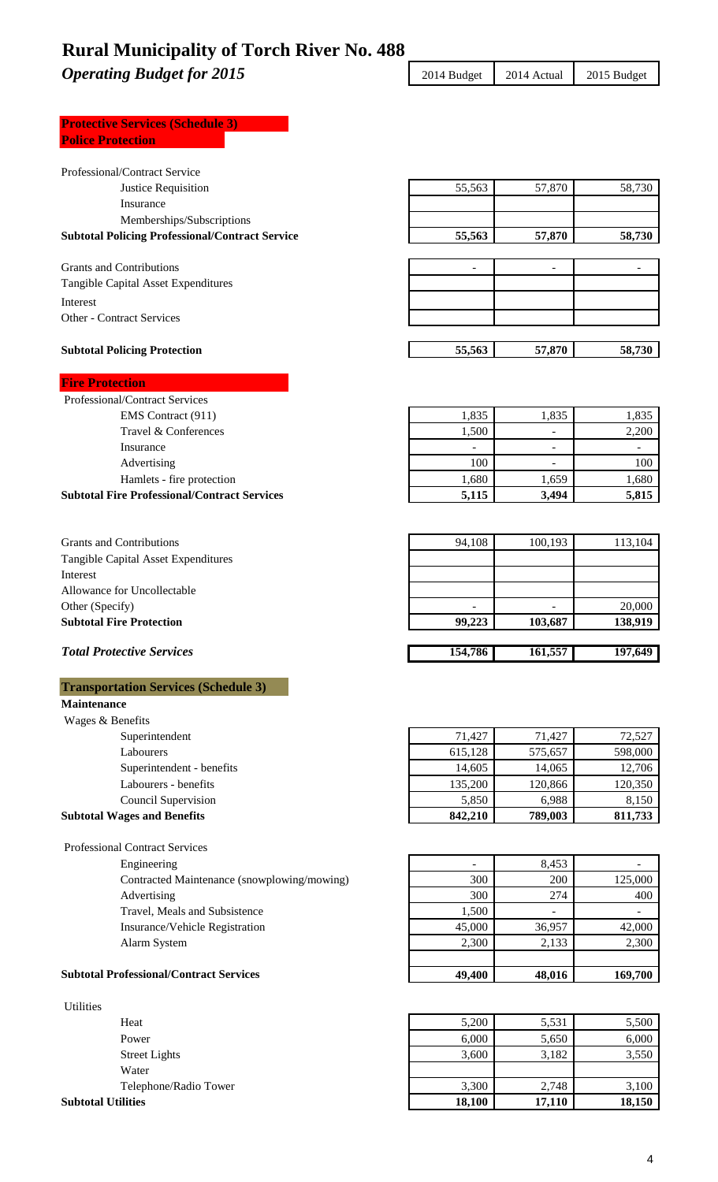**Operating Budget for 2015** 2015 2014 Budget 2014 Actual 2015 Budget

| <b>Protective Services (Schedule 3)</b> |  |
|-----------------------------------------|--|
| <b>Police Protection</b>                |  |
|                                         |  |

| Professional/Contract Service                          |         |                          |                          |
|--------------------------------------------------------|---------|--------------------------|--------------------------|
| Justice Requisition                                    | 55,563  | 57,870                   | 58,730                   |
| Insurance                                              |         |                          |                          |
| Memberships/Subscriptions                              |         |                          |                          |
| <b>Subtotal Policing Professional/Contract Service</b> | 55,563  | 57,870                   | 58,730                   |
|                                                        |         |                          |                          |
| <b>Grants and Contributions</b>                        |         |                          |                          |
| Tangible Capital Asset Expenditures                    |         |                          |                          |
| Interest                                               |         |                          |                          |
| <b>Other - Contract Services</b>                       |         |                          |                          |
|                                                        |         |                          |                          |
| <b>Subtotal Policing Protection</b>                    | 55,563  | 57,870                   | 58,730                   |
| <b>Fire Protection</b>                                 |         |                          |                          |
| Professional/Contract Services                         |         |                          |                          |
| EMS Contract (911)                                     | 1,835   | 1,835                    | 1,835                    |
| Travel & Conferences                                   | 1,500   | $\overline{\phantom{a}}$ | 2,200                    |
| Insurance                                              |         | $\overline{a}$           | $\overline{\phantom{a}}$ |
| Advertising                                            | 100     |                          | 100                      |
| Hamlets - fire protection                              | 1,680   | 1,659                    | 1,680                    |
| <b>Subtotal Fire Professional/Contract Services</b>    | 5,115   | 3,494                    | 5,815                    |
|                                                        |         |                          |                          |
| <b>Grants and Contributions</b>                        | 94,108  |                          |                          |
|                                                        |         | 100,193                  | 113,104                  |
| Tangible Capital Asset Expenditures<br>Interest        |         |                          |                          |
| Allowance for Uncollectable                            |         |                          |                          |
| Other (Specify)                                        |         |                          | 20,000                   |
| <b>Subtotal Fire Protection</b>                        | 99,223  | 103,687                  | 138,919                  |
|                                                        |         |                          |                          |
|                                                        |         |                          |                          |
| <b>Total Protective Services</b>                       | 154,786 | 161,557                  | 197,649                  |
|                                                        |         |                          |                          |
| <b>Transportation Services (Schedule 3)</b>            |         |                          |                          |
| <b>Maintenance</b>                                     |         |                          |                          |
| Wages & Benefits                                       |         |                          |                          |
| Superintendent                                         | 71,427  | 71,427                   | 72,527                   |
| Labourers                                              | 615,128 | 575,657                  | 598,000                  |
| Superintendent - benefits                              | 14,605  | 14,065                   | 12,706                   |
| Labourers - benefits                                   | 135,200 | 120,866                  | 120,350                  |
| Council Supervision                                    | 5,850   | 6,988                    | 8,150                    |
| <b>Subtotal Wages and Benefits</b>                     | 842,210 | 789,003                  | 811,733                  |
| <b>Professional Contract Services</b>                  |         |                          |                          |
| Engineering                                            |         | 8,453                    |                          |
| Contracted Maintenance (snowplowing/mowing)            | 300     | 200                      | 125,000                  |
| Advertising                                            | 300     | 274                      | 400                      |
| Travel, Meals and Subsistence                          | 1,500   | $\overline{a}$           | $\blacksquare$           |
| Insurance/Vehicle Registration                         | 45,000  | 36,957                   | 42,000                   |
| Alarm System                                           | 2,300   | 2,133                    | 2,300                    |
|                                                        |         |                          |                          |
| <b>Subtotal Professional/Contract Services</b>         | 49,400  | 48,016                   | 169,700                  |
| <b>Utilities</b>                                       |         |                          |                          |

| 3,600<br><b>Street Lights</b><br>Water<br>3,300<br>Telephone/Radio Tower | 3,182<br>2.748 | 3,550<br>3,100 |
|--------------------------------------------------------------------------|----------------|----------------|
|                                                                          |                |                |
|                                                                          |                |                |
|                                                                          |                |                |
| 6,000<br>Power                                                           | 5,650          | 6,000          |
| 5,200<br>Heat                                                            | 5,531          | 5,500          |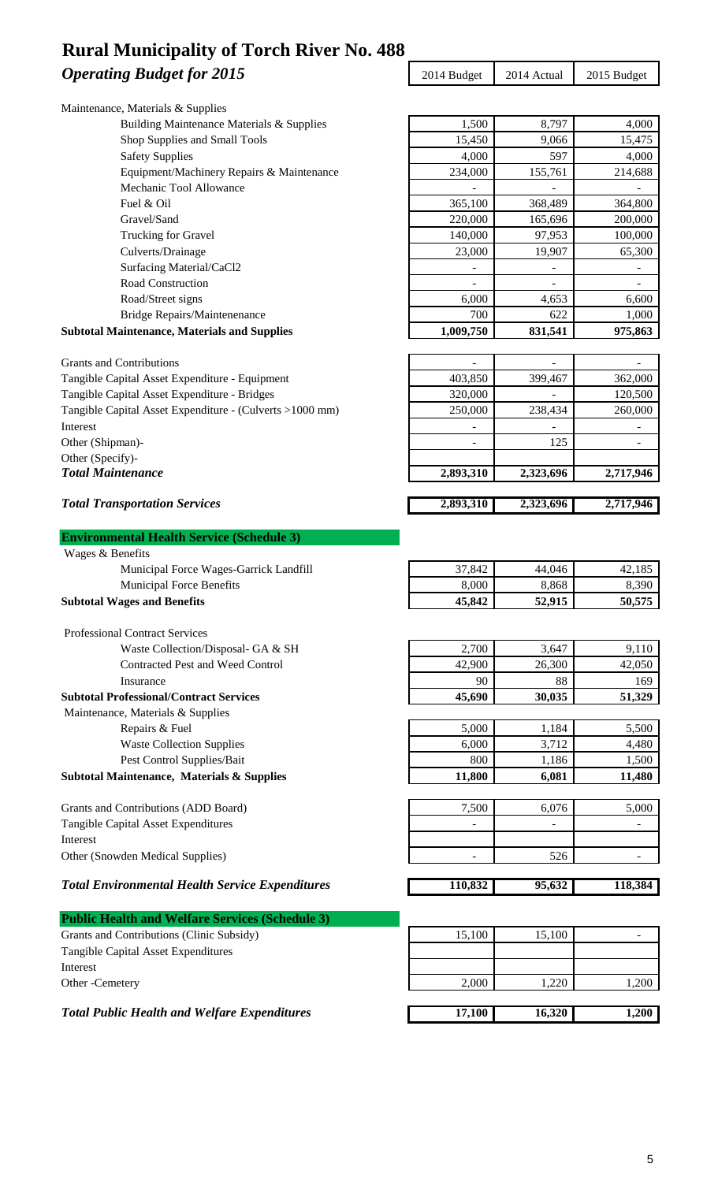### **Operating Budget for 2015** 2015 2014 Budget 2014 Actual 2015 Budget **Rural Municipality of Torch River No. 488**

| Maintenance, Materials & Supplies                        |           |                          |                          |
|----------------------------------------------------------|-----------|--------------------------|--------------------------|
| Building Maintenance Materials & Supplies                | 1,500     | 8,797                    | 4,000                    |
| Shop Supplies and Small Tools                            | 15,450    | 9,066                    | 15,475                   |
| <b>Safety Supplies</b>                                   | 4,000     | 597                      | 4,000                    |
| Equipment/Machinery Repairs & Maintenance                | 234,000   | 155,761                  | 214,688                  |
| Mechanic Tool Allowance                                  |           |                          |                          |
| Fuel & Oil                                               | 365,100   | 368,489                  | 364,800                  |
| Gravel/Sand                                              | 220,000   | 165,696                  | 200,000                  |
| Trucking for Gravel                                      | 140,000   | 97,953                   | 100,000                  |
| Culverts/Drainage                                        | 23,000    | 19,907                   | 65,300                   |
| Surfacing Material/CaCl2                                 |           |                          | $\overline{\phantom{0}}$ |
| Road Construction                                        |           | $\overline{\phantom{a}}$ |                          |
| Road/Street signs                                        | 6,000     | 4,653                    | 6,600                    |
| Bridge Repairs/Maintenenance                             | 700       | 622                      | 1,000                    |
| <b>Subtotal Maintenance, Materials and Supplies</b>      | 1,009,750 | 831,541                  | 975,863                  |
| <b>Grants and Contributions</b>                          |           |                          |                          |
| Tangible Capital Asset Expenditure - Equipment           | 403,850   | 399,467                  | 362,000                  |
| Tangible Capital Asset Expenditure - Bridges             | 320,000   |                          | 120,500                  |
| Tangible Capital Asset Expenditure - (Culverts >1000 mm) | 250,000   | 238,434                  | 260,000                  |
| Interest                                                 |           |                          |                          |
| Other (Shipman)-                                         |           | 125                      |                          |
| Other (Specify)-                                         |           |                          |                          |
| <b>Total Maintenance</b>                                 | 2,893,310 | 2,323,696                | 2,717,946                |
| <b>Total Transportation Services</b>                     | 2,893,310 | 2,323,696                | 2,717,946                |
|                                                          |           |                          |                          |
| <b>Environmental Health Service (Schedule 3)</b>         |           |                          |                          |
| Wages & Benefits                                         |           |                          |                          |
| Municipal Force Wages-Garrick Landfill                   | 37,842    | 44,046                   | 42,185                   |
| <b>Municipal Force Benefits</b>                          | 8,000     | 8,868                    | 8,390                    |
| <b>Subtotal Wages and Benefits</b>                       | 45,842    | 52,915                   | 50,575                   |
| <b>Professional Contract Services</b>                    |           |                          |                          |
| Waste Collection/Disposal- GA & SH                       | 2,700     | 3,647                    | 9,110                    |
| Contracted Pest and Weed Control                         | 42,900    | 26,300                   | 42,050                   |
| Insurance                                                | 90        | 88                       | 169                      |
| <b>Subtotal Professional/Contract Services</b>           | 45,690    | 30,035                   | 51,329                   |
| Maintenance, Materials & Supplies                        |           |                          |                          |
| Repairs & Fuel                                           | 5,000     | 1,184                    | 5,500                    |
| <b>Waste Collection Supplies</b>                         | 6,000     | 3,712                    | 4,480                    |
| Pest Control Supplies/Bait                               | 800       | 1,186                    | 1,500                    |
| Subtotal Maintenance, Materials & Supplies               | 11,800    | 6,081                    | 11,480                   |
|                                                          |           |                          |                          |
| Grants and Contributions (ADD Board)                     | 7,500     | 6,076                    | 5,000                    |
| Tangible Capital Asset Expenditures                      | ۰         | $\overline{\phantom{a}}$ | $\overline{\phantom{a}}$ |
| Interest                                                 |           |                          |                          |
| Other (Snowden Medical Supplies)                         |           | 526                      |                          |
| <b>Total Environmental Health Service Expenditures</b>   | 110,832   | 95,632                   |                          |
|                                                          |           |                          | 118,384                  |
| <b>Public Health and Welfare Services (Schedule 3)</b>   |           |                          |                          |
| Grants and Contributions (Clinic Subsidy)                | 15,100    | 15,100                   |                          |
| Tangible Capital Asset Expenditures                      |           |                          |                          |
| Interest                                                 |           |                          |                          |
| Other -Cemetery                                          | 2,000     | 1,220                    | 1,200                    |
|                                                          |           |                          |                          |

*Total Public Health and Welfare Expenditures* 17,100 16,320 1,200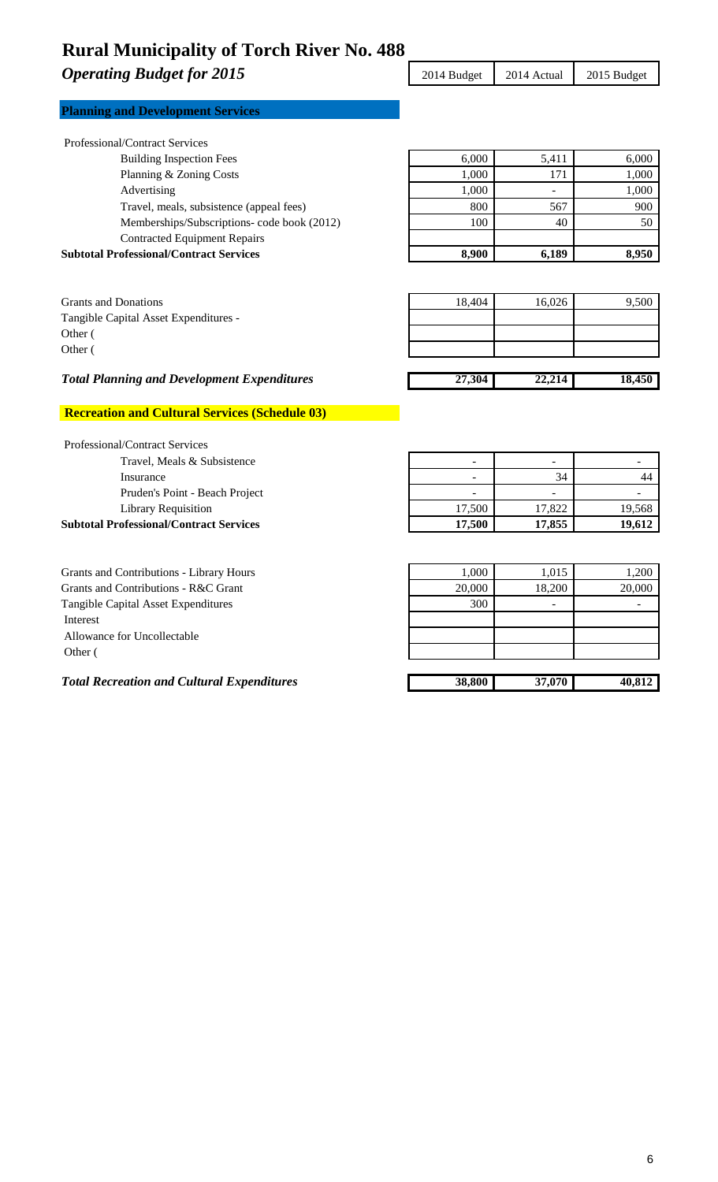**Operating Budget for 2015** 2015 2014 Budget 2014 Actual 2015 Budget

|  | <b>Planning and Development Services</b> |  |
|--|------------------------------------------|--|
|  |                                          |  |

| <b>Subtotal Professional/Contract Services</b> |  | 8,900 | 6,189                    | 8,950 |
|------------------------------------------------|--|-------|--------------------------|-------|
| <b>Contracted Equipment Repairs</b>            |  |       |                          |       |
| Memberships/Subscriptions- code book (2012)    |  | 100   | 40                       | 50    |
| Travel, meals, subsistence (appeal fees)       |  | 800   | 567                      | 900   |
| Advertising                                    |  | 1.000 | $\overline{\phantom{a}}$ | 1,000 |
| Planning & Zoning Costs                        |  | 1.000 | 171                      | 1,000 |
| <b>Building Inspection Fees</b>                |  | 6,000 | 5,411                    | 6,000 |

| <b>Grants and Donations</b>           | 18,404 | 16,026 | 9,500 |
|---------------------------------------|--------|--------|-------|
| Tangible Capital Asset Expenditures - |        |        |       |
| Other (                               |        |        |       |
| Other (                               |        |        |       |
|                                       |        |        |       |

### *Total Planning and Development Expenditures* 27,304 22,214 22,214 18,450

### **Recreation and Cultural Services (Schedule 03)**

| <b>Professional/Contract Services</b>          |        |        |        |
|------------------------------------------------|--------|--------|--------|
| Travel, Meals & Subsistence                    |        |        |        |
| Insurance                                      |        | 34     |        |
| Pruden's Point - Beach Project                 |        | -      |        |
| <b>Library Requisition</b>                     | 17.500 | 17.822 | 19,568 |
| <b>Subtotal Professional/Contract Services</b> | 17,500 | 17,855 | 19,612 |
|                                                |        |        |        |

| Grants and Contributions - Library Hours          | 1.000  | 1,015                    | 1,200  |
|---------------------------------------------------|--------|--------------------------|--------|
| Grants and Contributions - R&C Grant              | 20,000 | 18,200                   | 20,000 |
| Tangible Capital Asset Expenditures               | 300    | $\overline{\phantom{a}}$ |        |
| Interest                                          |        |                          |        |
| Allowance for Uncollectable                       |        |                          |        |
| Other (                                           |        |                          |        |
|                                                   |        |                          |        |
| <b>Total Recreation and Cultural Expenditures</b> | 38,800 | 37,070                   | 40,812 |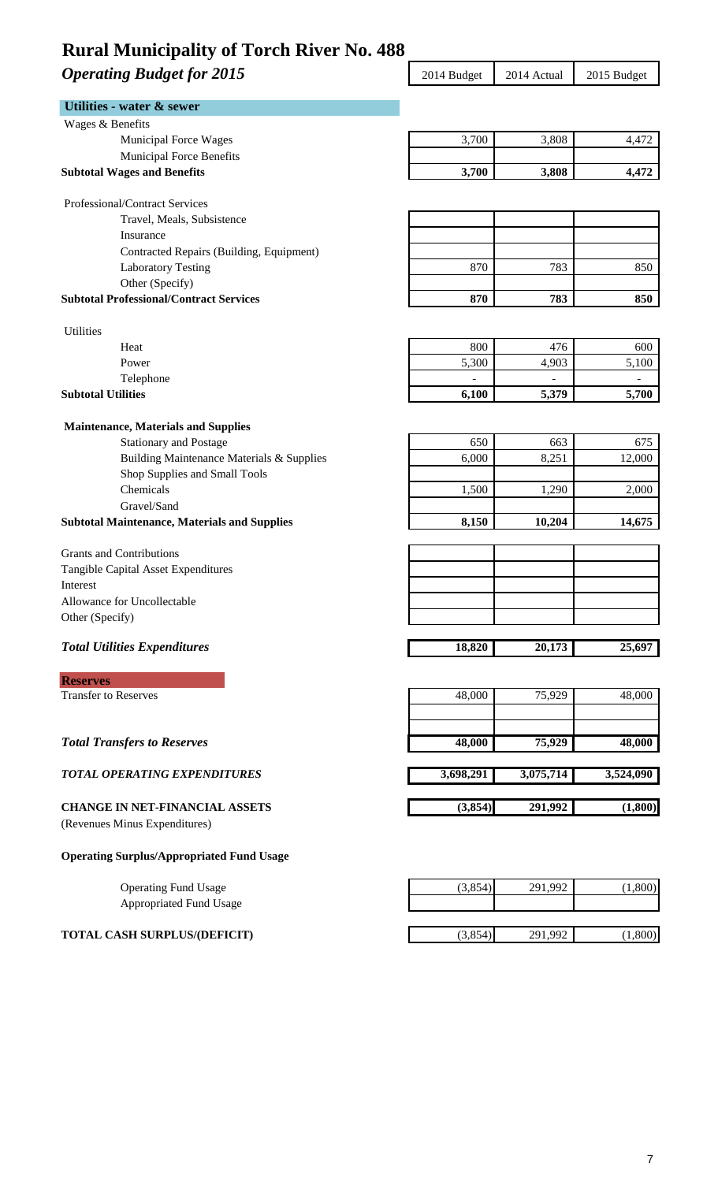### **Operating Budget for 2015** 2015 2014 Budget 2014 Actual 2015 Budget

| Utilities - water & sewer                                          |           |           |                          |
|--------------------------------------------------------------------|-----------|-----------|--------------------------|
| Wages & Benefits                                                   |           |           |                          |
| <b>Municipal Force Wages</b>                                       | 3,700     | 3,808     | 4,472                    |
| Municipal Force Benefits                                           |           |           |                          |
| <b>Subtotal Wages and Benefits</b>                                 | 3,700     | 3,808     | 4,472                    |
| Professional/Contract Services                                     |           |           |                          |
| Travel, Meals, Subsistence                                         |           |           |                          |
| Insurance                                                          |           |           |                          |
| Contracted Repairs (Building, Equipment)                           |           |           |                          |
| <b>Laboratory Testing</b>                                          | 870       | 783       | 850                      |
| Other (Specify)                                                    |           |           |                          |
| <b>Subtotal Professional/Contract Services</b>                     | 870       | 783       | 850                      |
| <b>Utilities</b>                                                   |           |           |                          |
| Heat                                                               | 800       | 476       | 600                      |
| Power                                                              | 5,300     | 4,903     | 5,100                    |
| Telephone                                                          |           |           | $\overline{\phantom{a}}$ |
| <b>Subtotal Utilities</b>                                          | 6,100     | 5,379     | 5,700                    |
|                                                                    |           |           |                          |
| <b>Maintenance, Materials and Supplies</b>                         |           |           |                          |
| <b>Stationary and Postage</b>                                      | 650       | 663       | 675                      |
| Building Maintenance Materials & Supplies                          | 6,000     | 8,251     | 12,000                   |
| Shop Supplies and Small Tools                                      |           |           |                          |
| Chemicals                                                          | 1,500     | 1,290     | 2,000                    |
| Gravel/Sand<br><b>Subtotal Maintenance, Materials and Supplies</b> | 8,150     | 10,204    | 14,675                   |
|                                                                    |           |           |                          |
| <b>Grants and Contributions</b>                                    |           |           |                          |
| Tangible Capital Asset Expenditures                                |           |           |                          |
| Interest                                                           |           |           |                          |
| Allowance for Uncollectable                                        |           |           |                          |
| Other (Specify)                                                    |           |           |                          |
| <b>Total Utilities Expenditures</b>                                | 18,820    | 20,173    | 25,697                   |
| <b>Reserves</b>                                                    |           |           |                          |
| <b>Transfer to Reserves</b>                                        | 48,000    | 75,929    | 48,000                   |
|                                                                    |           |           |                          |
| <b>Total Transfers to Reserves</b>                                 | 48,000    | 75,929    | 48,000                   |
|                                                                    |           |           |                          |
| <b>TOTAL OPERATING EXPENDITURES</b>                                | 3,698,291 | 3,075,714 | 3,524,090                |
| <b>CHANGE IN NET-FINANCIAL ASSETS</b>                              | (3,854)   | 291,992   | (1,800)                  |
| (Revenues Minus Expenditures)                                      |           |           |                          |
| <b>Operating Surplus/Appropriated Fund Usage</b>                   |           |           |                          |
| <b>Operating Fund Usage</b>                                        | (3,854)   | 291,992   | (1,800)                  |
|                                                                    |           |           |                          |
|                                                                    |           |           |                          |
| <b>Appropriated Fund Usage</b>                                     |           |           |                          |
| <b>TOTAL CASH SURPLUS/(DEFICIT)</b>                                | (3,854)   | 291,992   | (1,800)                  |